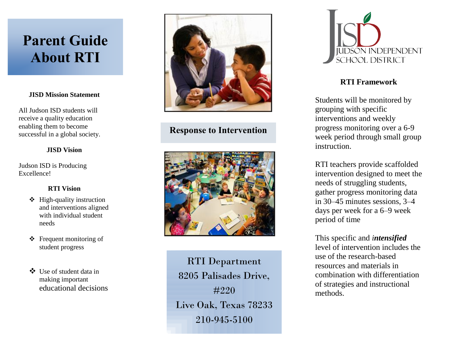# **Parent Guide About RTI**

#### **JISD Mission Statement**

All Judson ISD students will receive a quality education enabling them to become successful in a global society.

#### **JISD Vision**

Judson ISD is Producing Excellence!

## **RTI Vision**

- $\div$  High-quality instruction and interventions aligned with individual student needs
- Frequent monitoring of student progress
- Use of student data in making important educational decisions



## **Response to Intervention**



RTI Department 8205 Palisades Drive, #220 Live Oak, Texas 78233 210-945-5100



## **RTI Framework**

Students will be monitored by grouping with specific interventions and weekly progress monitoring over a 6-9 week period through small group instruction.

RTI teachers provide scaffolded intervention designed to meet the needs of struggling students, gather progress monitoring data in 30–45 minutes sessions, 3–4 days per week for a 6–9 week period of time

This specific and *intensified* level of intervention includes the use of the research-based resources and materials in combination with differentiation of strategies and instructional methods.